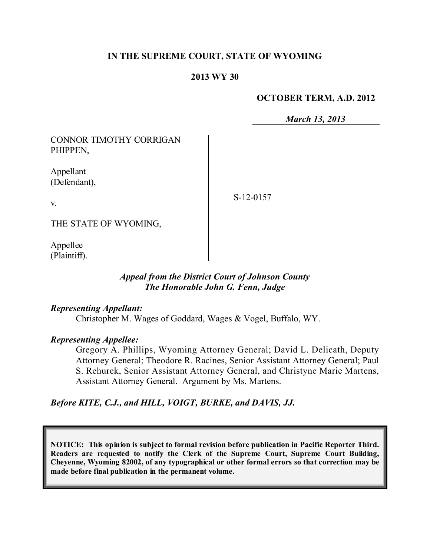### **IN THE SUPREME COURT, STATE OF WYOMING**

### **2013 WY 30**

### **OCTOBER TERM, A.D. 2012**

*March 13, 2013*

CONNOR TIMOTHY CORRIGAN PHIPPEN,

Appellant (Defendant),

S-12-0157

THE STATE OF WYOMING,

Appellee (Plaintiff).

v.

# *Appeal from the District Court of Johnson County The Honorable John G. Fenn, Judge*

### *Representing Appellant:*

Christopher M. Wages of Goddard, Wages & Vogel, Buffalo, WY.

## *Representing Appellee:*

Gregory A. Phillips, Wyoming Attorney General; David L. Delicath, Deputy Attorney General; Theodore R. Racines, Senior Assistant Attorney General; Paul S. Rehurek, Senior Assistant Attorney General, and Christyne Marie Martens, Assistant Attorney General. Argument by Ms. Martens.

*Before KITE, C.J., and HILL, VOIGT, BURKE, and DAVIS, JJ.*

**NOTICE: This opinion is subject to formal revision before publication in Pacific Reporter Third. Readers are requested to notify the Clerk of the Supreme Court, Supreme Court Building, Cheyenne, Wyoming 82002, of any typographical or other formal errors so that correction may be made before final publication in the permanent volume.**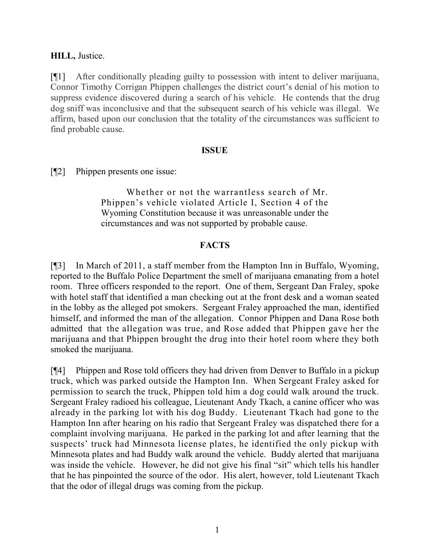### **HILL,** Justice.

[¶1] After conditionally pleading guilty to possession with intent to deliver marijuana, Connor Timothy Corrigan Phippen challenges the district court's denial of his motion to suppress evidence discovered during a search of his vehicle. He contends that the drug dog sniff was inconclusive and that the subsequent search of his vehicle was illegal. We affirm, based upon our conclusion that the totality of the circumstances was sufficient to find probable cause.

### **ISSUE**

[¶2] Phippen presents one issue:

Whether or not the warrantless search of Mr. Phippen's vehicle violated Article I, Section 4 of the Wyoming Constitution because it was unreasonable under the circumstances and was not supported by probable cause.

## **FACTS**

[¶3] In March of 2011, a staff member from the Hampton Inn in Buffalo, Wyoming, reported to the Buffalo Police Department the smell of marijuana emanating from a hotel room. Three officers responded to the report. One of them, Sergeant Dan Fraley, spoke with hotel staff that identified a man checking out at the front desk and a woman seated in the lobby as the alleged pot smokers. Sergeant Fraley approached the man, identified himself, and informed the man of the allegation. Connor Phippen and Dana Rose both admitted that the allegation was true, and Rose added that Phippen gave her the marijuana and that Phippen brought the drug into their hotel room where they both smoked the marijuana.

[¶4] Phippen and Rose told officers they had driven from Denver to Buffalo in a pickup truck, which was parked outside the Hampton Inn. When Sergeant Fraley asked for permission to search the truck, Phippen told him a dog could walk around the truck. Sergeant Fraley radioed his colleague, Lieutenant Andy Tkach, a canine officer who was already in the parking lot with his dog Buddy. Lieutenant Tkach had gone to the Hampton Inn after hearing on his radio that Sergeant Fraley was dispatched there for a complaint involving marijuana. He parked in the parking lot and after learning that the suspects' truck had Minnesota license plates, he identified the only pickup with Minnesota plates and had Buddy walk around the vehicle. Buddy alerted that marijuana was inside the vehicle. However, he did not give his final "sit" which tells his handler that he has pinpointed the source of the odor. His alert, however, told Lieutenant Tkach that the odor of illegal drugs was coming from the pickup.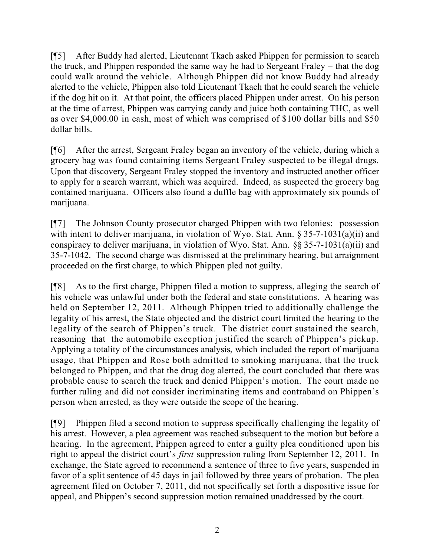[¶5] After Buddy had alerted, Lieutenant Tkach asked Phippen for permission to search the truck, and Phippen responded the same way he had to Sergeant Fraley – that the dog could walk around the vehicle. Although Phippen did not know Buddy had already alerted to the vehicle, Phippen also told Lieutenant Tkach that he could search the vehicle if the dog hit on it. At that point, the officers placed Phippen under arrest. On his person at the time of arrest, Phippen was carrying candy and juice both containing THC, as well as over \$4,000.00 in cash, most of which was comprised of \$100 dollar bills and \$50 dollar bills.

[¶6] After the arrest, Sergeant Fraley began an inventory of the vehicle, during which a grocery bag was found containing items Sergeant Fraley suspected to be illegal drugs. Upon that discovery, Sergeant Fraley stopped the inventory and instructed another officer to apply for a search warrant, which was acquired. Indeed, as suspected the grocery bag contained marijuana. Officers also found a duffle bag with approximately six pounds of marijuana.

[¶7] The Johnson County prosecutor charged Phippen with two felonies: possession with intent to deliver marijuana, in violation of Wyo. Stat. Ann. § 35-7-1031(a)(ii) and conspiracy to deliver marijuana, in violation of Wyo. Stat. Ann. §§ 35-7-1031(a)(ii) and 35-7-1042. The second charge was dismissed at the preliminary hearing, but arraignment proceeded on the first charge, to which Phippen pled not guilty.

[¶8] As to the first charge, Phippen filed a motion to suppress, alleging the search of his vehicle was unlawful under both the federal and state constitutions. A hearing was held on September 12, 2011. Although Phippen tried to additionally challenge the legality of his arrest, the State objected and the district court limited the hearing to the legality of the search of Phippen's truck. The district court sustained the search, reasoning that the automobile exception justified the search of Phippen's pickup. Applying a totality of the circumstances analysis, which included the report of marijuana usage, that Phippen and Rose both admitted to smoking marijuana, that the truck belonged to Phippen, and that the drug dog alerted, the court concluded that there was probable cause to search the truck and denied Phippen's motion. The court made no further ruling and did not consider incriminating items and contraband on Phippen's person when arrested, as they were outside the scope of the hearing.

[¶9] Phippen filed a second motion to suppress specifically challenging the legality of his arrest. However, a plea agreement was reached subsequent to the motion but before a hearing. In the agreement, Phippen agreed to enter a guilty plea conditioned upon his right to appeal the district court's *first* suppression ruling from September 12, 2011. In exchange, the State agreed to recommend a sentence of three to five years, suspended in favor of a split sentence of 45 days in jail followed by three years of probation. The plea agreement filed on October 7, 2011, did not specifically set forth a dispositive issue for appeal, and Phippen's second suppression motion remained unaddressed by the court.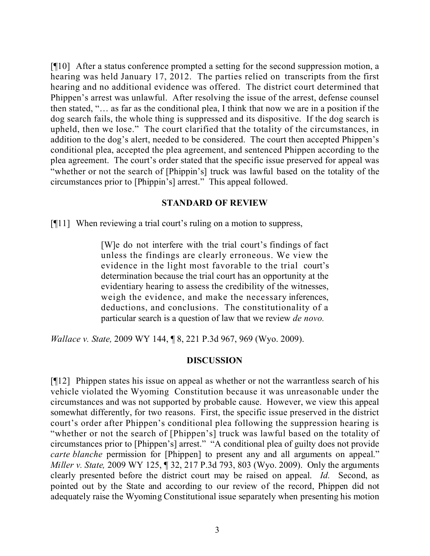[¶10] After a status conference prompted a setting for the second suppression motion, a hearing was held January 17, 2012. The parties relied on transcripts from the first hearing and no additional evidence was offered. The district court determined that Phippen's arrest was unlawful. After resolving the issue of the arrest, defense counsel then stated, "… as far as the conditional plea, I think that now we are in a position if the dog search fails, the whole thing is suppressed and its dispositive. If the dog search is upheld, then we lose." The court clarified that the totality of the circumstances, in addition to the dog's alert, needed to be considered. The court then accepted Phippen's conditional plea, accepted the plea agreement, and sentenced Phippen according to the plea agreement. The court's order stated that the specific issue preserved for appeal was "whether or not the search of [Phippin's] truck was lawful based on the totality of the circumstances prior to [Phippin's] arrest." This appeal followed.

### **STANDARD OF REVIEW**

[¶11] When reviewing a trial court's ruling on a motion to suppress,

[W]e do not interfere with the trial court's findings of fact unless the findings are clearly erroneous. We view the evidence in the light most favorable to the trial court's determination because the trial court has an opportunity at the evidentiary hearing to assess the credibility of the witnesses, weigh the evidence, and make the necessary inferences, deductions, and conclusions. The constitutionality of a particular search is a question of law that we review *de novo.*

*Wallace v. State,* 2009 WY 144, ¶ 8, 221 P.3d 967, 969 (Wyo. 2009).

## **DISCUSSION**

[¶12] Phippen states his issue on appeal as whether or not the warrantless search of his vehicle violated the Wyoming Constitution because it was unreasonable under the circumstances and was not supported by probable cause. However, we view this appeal somewhat differently, for two reasons. First, the specific issue preserved in the district court's order after Phippen's conditional plea following the suppression hearing is "whether or not the search of [Phippen's] truck was lawful based on the totality of circumstances prior to [Phippen's] arrest." "A conditional plea of guilty does not provide *carte blanche* permission for [Phippen] to present any and all arguments on appeal." *Miller v. State,* 2009 WY 125, ¶ 32, 217 P.3d 793, 803 (Wyo. 2009). Only the arguments clearly presented before the district court may be raised on appeal. *Id.* Second, as pointed out by the State and according to our review of the record, Phippen did not adequately raise the Wyoming Constitutional issue separately when presenting his motion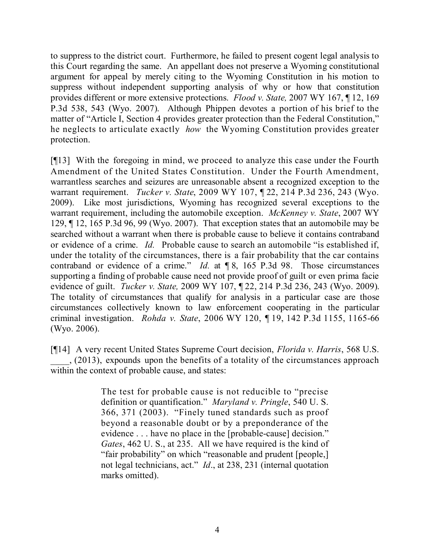to suppress to the district court. Furthermore, he failed to present cogent legal analysis to this Court regarding the same. An appellant does not preserve a Wyoming constitutional argument for appeal by merely citing to the Wyoming Constitution in his motion to suppress without independent supporting analysis of why or how that constitution provides different or more extensive protections. *Flood v. State,* 2007 WY 167, ¶ 12, 169 P.3d 538, 543 (Wyo. 2007). Although Phippen devotes a portion of his brief to the matter of "Article I, Section 4 provides greater protection than the Federal Constitution," he neglects to articulate exactly *how* the Wyoming Constitution provides greater protection.

[¶13] With the foregoing in mind, we proceed to analyze this case under the Fourth Amendment of the United States Constitution. Under the Fourth Amendment, warrantless searches and seizures are unreasonable absent a recognized exception to the warrant requirement. *Tucker v. State*, 2009 WY 107, ¶ 22, 214 P.3d 236, 243 (Wyo. 2009). Like most jurisdictions, Wyoming has recognized several exceptions to the warrant requirement, including the automobile exception. *McKenney v. State*, 2007 WY 129, ¶ 12, 165 P.3d 96, 99 (Wyo. 2007). That exception states that an automobile may be searched without a warrant when there is probable cause to believe it contains contraband or evidence of a crime. *Id.* Probable cause to search an automobile "is established if, under the totality of the circumstances, there is a fair probability that the car contains contraband or evidence of a crime." *Id.* at ¶ 8, 165 P.3d 98. Those circumstances supporting a finding of probable cause need not provide proof of guilt or even prima facie evidence of guilt. *Tucker v. State,* 2009 WY 107, ¶ 22, 214 P.3d 236, 243 (Wyo. 2009). The totality of circumstances that qualify for analysis in a particular case are those circumstances collectively known to law enforcement cooperating in the particular criminal investigation. *Rohda v. State*, 2006 WY 120, ¶ 19, 142 P.3d 1155, 1165-66 (Wyo. 2006).

[¶14] A very recent United States Supreme Court decision, *Florida v. Harris*, 568 U.S. \_\_\_\_, (2013), expounds upon the benefits of a totality of the circumstances approach within the context of probable cause, and states:

> The test for probable cause is not reducible to "precise definition or quantification." *Maryland v. Pringle*, 540 U. S. 366, 371 (2003). "Finely tuned standards such as proof beyond a reasonable doubt or by a preponderance of the evidence . . . have no place in the [probable-cause] decision." *Gates*, 462 U. S., at 235. All we have required is the kind of "fair probability" on which "reasonable and prudent [people,] not legal technicians, act." *Id*., at 238, 231 (internal quotation marks omitted).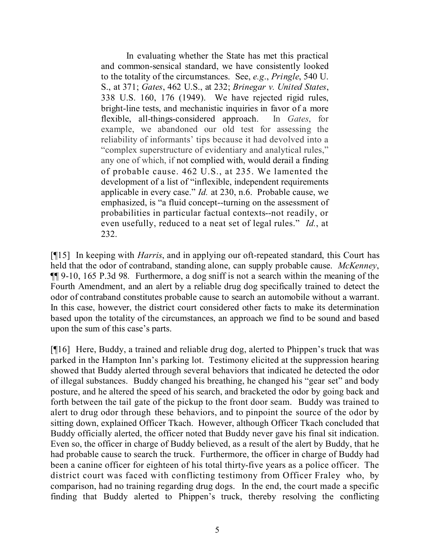In evaluating whether the State has met this practical and common-sensical standard, we have consistently looked to the totality of the circumstances. See, *e.g*., *Pringle*, 540 U. S., at 371; *Gates*, 462 U.S., at 232; *Brinegar v. United States*, 338 U.S. 160, 176 (1949). We have rejected rigid rules, bright-line tests, and mechanistic inquiries in favor of a more flexible, all-things-considered approach. In *Gates*, for example, we abandoned our old test for assessing the reliability of informants' tips because it had devolved into a "complex superstructure of evidentiary and analytical rules," any one of which, if not complied with, would derail a finding of probable cause. 462 U.S., at 235. We lamented the development of a list of "inflexible, independent requirements applicable in every case." *Id.* at 230, n.6. Probable cause, we emphasized, is "a fluid concept--turning on the assessment of probabilities in particular factual contexts--not readily, or even usefully, reduced to a neat set of legal rules." *Id.*, at 232.

[¶15] In keeping with *Harris*, and in applying our oft-repeated standard, this Court has held that the odor of contraband, standing alone, can supply probable cause. *McKenney*, ¶¶ 9-10, 165 P.3d 98*.* Furthermore, a dog sniff is not a search within the meaning of the Fourth Amendment, and an alert by a reliable drug dog specifically trained to detect the odor of contraband constitutes probable cause to search an automobile without a warrant. In this case, however, the district court considered other facts to make its determination based upon the totality of the circumstances, an approach we find to be sound and based upon the sum of this case's parts.

[¶16] Here, Buddy, a trained and reliable drug dog, alerted to Phippen's truck that was parked in the Hampton Inn's parking lot. Testimony elicited at the suppression hearing showed that Buddy alerted through several behaviors that indicated he detected the odor of illegal substances. Buddy changed his breathing, he changed his "gear set" and body posture, and he altered the speed of his search, and bracketed the odor by going back and forth between the tail gate of the pickup to the front door seam. Buddy was trained to alert to drug odor through these behaviors, and to pinpoint the source of the odor by sitting down, explained Officer Tkach. However, although Officer Tkach concluded that Buddy officially alerted, the officer noted that Buddy never gave his final sit indication. Even so, the officer in charge of Buddy believed, as a result of the alert by Buddy, that he had probable cause to search the truck. Furthermore, the officer in charge of Buddy had been a canine officer for eighteen of his total thirty-five years as a police officer. The district court was faced with conflicting testimony from Officer Fraley who, by comparison, had no training regarding drug dogs. In the end, the court made a specific finding that Buddy alerted to Phippen's truck, thereby resolving the conflicting